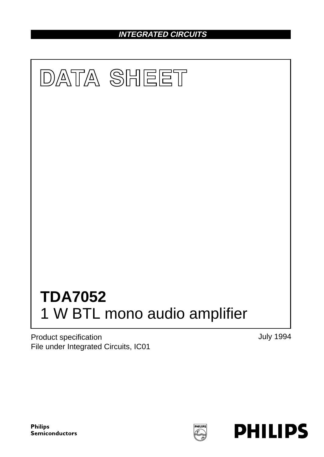**INTEGRATED CIRCUITS**



Product specification File under Integrated Circuits, IC01 July 1994

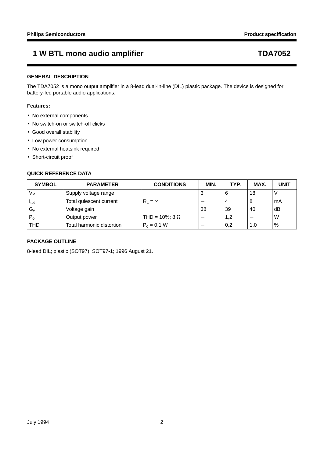## **GENERAL DESCRIPTION**

The TDA7052 is a mono output amplifier in a 8-lead dual-in-line (DIL) plastic package. The device is designed for battery-fed portable audio applications.

## **Features:**

- No external components
- No switch-on or switch-off clicks
- Good overall stability
- Low power consumption
- No external heatsink required
- Short-circuit proof

## **QUICK REFERENCE DATA**

| <b>SYMBOL</b>    | <b>PARAMETER</b>          | <b>CONDITIONS</b>     | MIN.                     | TYP. | MAX. | <b>UNIT</b> |
|------------------|---------------------------|-----------------------|--------------------------|------|------|-------------|
| Vь               | Supply voltage range      |                       | 3                        | 6    | 18   |             |
| <sup>I</sup> tot | Total quiescent current   | $R_1 = \infty$        |                          | 4    | 8    | mA          |
| $G_{v}$          | Voltage gain              |                       | 38                       | 39   | 40   | dB          |
| $P_0$            | Output power              | THD = 10%; 8 $\Omega$ |                          | 1,2  |      | W           |
| THD              | Total harmonic distortion | $P_0 = 0.1 W$         | $\overline{\phantom{0}}$ | 0,2  | 1,0  | %           |

## **PACKAGE OUTLINE**

8-lead DIL; plastic (SOT97); SOT97-1; 1996 August 21.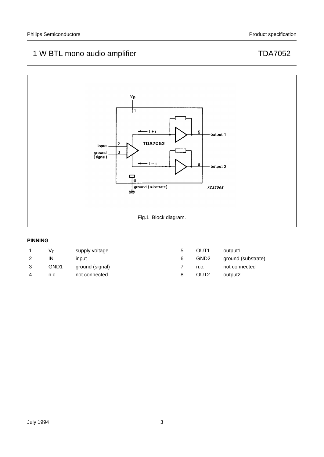

## **PINNING**

|   | Vь               | supply voltage  | 5 | OUT <sub>1</sub> | output1            |
|---|------------------|-----------------|---|------------------|--------------------|
|   | IN               | input           | 6 | GND <sub>2</sub> | ground (substrate) |
| 3 | GND <sub>1</sub> | ground (signal) |   | n.c.             | not connected      |
| 4 | n.c.             | not connected   | 8 | OUT <sub>2</sub> | output2            |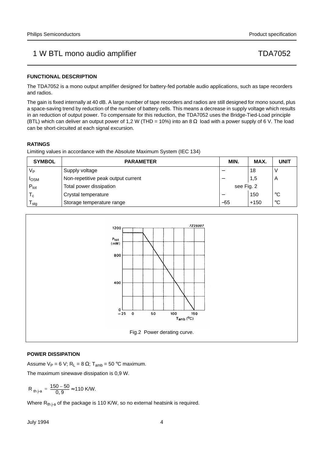## **FUNCTIONAL DESCRIPTION**

The TDA7052 is a mono output amplifier designed for battery-fed portable audio applications, such as tape recorders and radios.

The gain is fixed internally at 40 dB. A large number of tape recorders and radios are still designed for mono sound, plus a space-saving trend by reduction of the number of battery cells. This means a decrease in supply voltage which results in an reduction of output power. To compensate for this reduction, the TDA7052 uses the Bridge-Tied-Load principle (BTL) which can deliver an output power of 1,2 W (THD = 10%) into an 8  $\Omega$  load with a power supply of 6 V. The load can be short-circuited at each signal excursion.

## **RATINGS**

Limiting values in accordance with the Absolute Maximum System (IEC 134)

| <b>SYMBOL</b>    | <b>PARAMETER</b>                   | MIN.       | MAX.   | <b>UNIT</b> |
|------------------|------------------------------------|------------|--------|-------------|
| Vь               | Supply voltage                     |            | 18     |             |
| <b>I</b> OSM     | Non-repetitive peak output current |            | 1,5    | A           |
| $P_{\text{tot}}$ | Total power dissipation            | see Fig. 2 |        |             |
| ιc.              | Crystal temperature                |            | 150    | $^{\circ}C$ |
| l <sub>Stg</sub> | Storage temperature range          | $-55$      | $+150$ | $^{\circ}C$ |



## **POWER DISSIPATION**

Assume  $V_P = 6 V$ ; R<sub>L</sub> = 8  $\Omega$ ; T<sub>amb</sub> = 50 °C maximum.

The maximum sinewave dissipation is 0,9 W.

$$
R_{th\,j\text{-}a} = \frac{150 - 50}{0.9} \approx 110 \text{ K/W}.
$$

Where  $R_{th}$ <sub>i-a</sub> of the package is 110 K/W, so no external heatsink is required.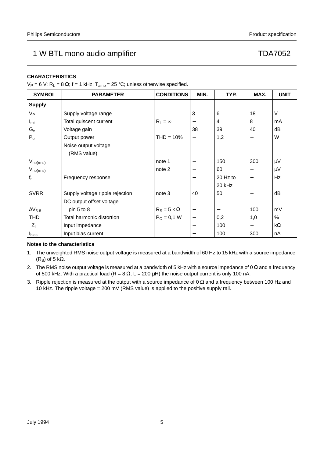## **CHARACTERISTICS**

V<sub>P</sub> = 6 V; R<sub>L</sub> = 8 Ω; f = 1 kHz; T<sub>amb</sub> = 25 °C; unless otherwise specified.

| <b>SYMBOL</b>    | <b>PARAMETER</b>                | <b>CONDITIONS</b>  | MIN.              | TYP.     | MAX.                     | <b>UNIT</b> |
|------------------|---------------------------------|--------------------|-------------------|----------|--------------------------|-------------|
| <b>Supply</b>    |                                 |                    |                   |          |                          |             |
| $V_{P}$          | Supply voltage range            |                    | 3                 | 6        | 18                       | V           |
| $I_{\text{tot}}$ | Total quiscent current          | $R_L = \infty$     | —                 | 4        | 8                        | mA          |
| $G_{V}$          | Voltage gain                    |                    | 38                | 39       | 40                       | dB          |
| $P_0$            | Output power                    | $THD = 10\%$       | $\qquad \qquad -$ | 1,2      | $\overline{\phantom{m}}$ | W           |
|                  | Noise output voltage            |                    |                   |          |                          |             |
|                  | (RMS value)                     |                    |                   |          |                          |             |
| $V_{no(rms)}$    |                                 | note 1             |                   | 150      | 300                      | $\mu$ V     |
| $V_{no(rms)}$    |                                 | note 2             |                   | 60       |                          | $\mu V$     |
| $f_r$            | Frequency response              |                    |                   | 20 Hz to | $\qquad \qquad -$        | <b>Hz</b>   |
|                  |                                 |                    |                   | 20 kHz   |                          |             |
| <b>SVRR</b>      | Supply voltage ripple rejection | note 3             | 40                | 50       |                          | dB          |
|                  | DC output offset voltage        |                    |                   |          |                          |             |
| $\Delta V_{5-8}$ | pin 5 to 8                      | $R_S = 5 k \Omega$ | —                 |          | 100                      | mV          |
| <b>THD</b>       | Total harmonic distortion       | $P_{O} = 0.1 W$    | —                 | 0,2      | 1,0                      | %           |
| $ Z_1 $          | Input impedance                 |                    |                   | 100      | $\qquad \qquad -$        | $k\Omega$   |
| <b>I</b> bias    | Input bias current              |                    |                   | 100      | 300                      | nA          |

## **Notes to the characteristics**

- 1. The unweighted RMS noise output voltage is measured at a bandwidth of 60 Hz to 15 kHz with a source impedance (R<sub>S</sub>) of 5 kΩ.
- 2. The RMS noise output voltage is measured at a bandwidth of 5 kHz with a source impedance of 0  $\Omega$  and a frequency of 500 kHz. With a practical load (R = 8  $\Omega$ ; L = 200  $\mu$ H) the noise output current is only 100 nA.
- 3. Ripple rejection is measured at the output with a source impedance of 0  $\Omega$  and a frequency between 100 Hz and 10 kHz. The ripple voltage = 200 mV (RMS value) is applied to the positive supply rail.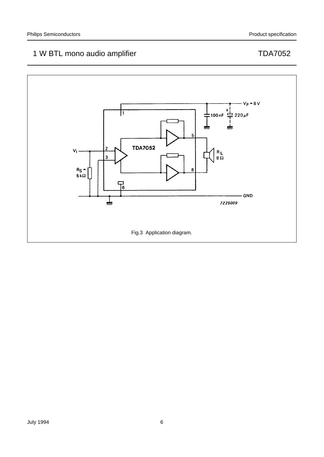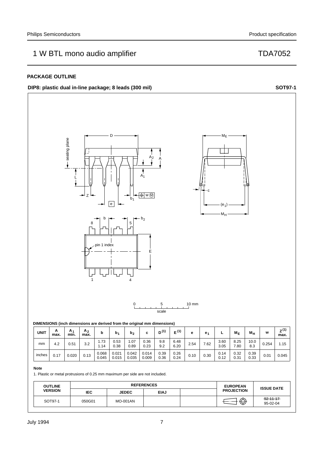## **PACKAGE OUTLINE**

## **DIP8:** plastic dual in-line package; 8 leads (300 mil) **SOT97-1 SOT97-1**



| <b>UNIT</b> | A<br>max. | A.<br>min. | A <sub>2</sub><br>max. |                | b٠             | b <sub>2</sub> | ∼<br>u         | $D^{(1)}$    | (1)          | е    | e.,  |              | $M_F$        | М <sub>Н</sub> | W     | z (1)<br>max. |
|-------------|-----------|------------|------------------------|----------------|----------------|----------------|----------------|--------------|--------------|------|------|--------------|--------------|----------------|-------|---------------|
| mm          | 4.2       | 0.51       | 3.2                    | .73<br>.14     | 0.53<br>0.38   | 1.07<br>0.89   | 0.36<br>0.23   | 9.8<br>9.2   | 6.48<br>6.20 | 2.54 | 7.62 | 3.60<br>3.05 | 8.25<br>7.80 | 10.0<br>8.3    | 0.254 | 1.15          |
| inches      | 0.17      | 0.020      | 0.13                   | 0.068<br>0.045 | 0.021<br>0.015 | 0.042<br>0.035 | 0.014<br>0.009 | 0.39<br>0.36 | 0.26<br>0.24 | 0.10 | 0.30 | 0.14<br>0.12 | 0.32<br>0.31 | 0.39<br>0.33   | 0.01  | 0.045         |

### **Note**

1. Plastic or metal protrusions of 0.25 mm maximum per side are not included.

| <b>OUTLINE</b> |            | <b>REFERENCES</b> | <b>EUROPEAN</b> | <b>ISSUE DATE</b> |                   |                             |  |
|----------------|------------|-------------------|-----------------|-------------------|-------------------|-----------------------------|--|
| <b>VERSION</b> | <b>IEC</b> | <b>JEDEC</b>      | <b>EIAJ</b>     |                   | <b>PROJECTION</b> |                             |  |
| SOT97-1        | 050G01     | <b>MO-001AN</b>   |                 |                   | ⊕                 | $-92 - 11 - 17$<br>95-02-04 |  |